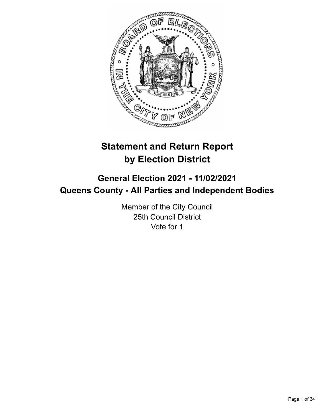

# **Statement and Return Report by Election District**

# **General Election 2021 - 11/02/2021 Queens County - All Parties and Independent Bodies**

Member of the City Council 25th Council District Vote for 1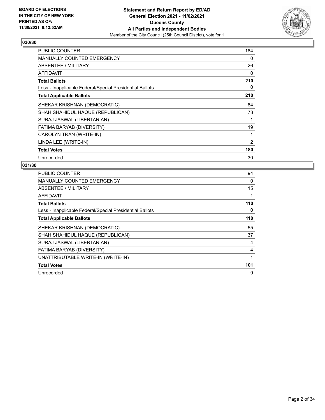

| <b>PUBLIC COUNTER</b>                                    | 184      |
|----------------------------------------------------------|----------|
| <b>MANUALLY COUNTED EMERGENCY</b>                        | 0        |
| ABSENTEE / MILITARY                                      | 26       |
| <b>AFFIDAVIT</b>                                         | $\Omega$ |
| <b>Total Ballots</b>                                     | 210      |
| Less - Inapplicable Federal/Special Presidential Ballots | 0        |
| <b>Total Applicable Ballots</b>                          | 210      |
| SHEKAR KRISHNAN (DEMOCRATIC)                             | 84       |
| SHAH SHAHIDUL HAQUE (REPUBLICAN)                         | 73       |
| SURAJ JASWAL (LIBERTARIAN)                               |          |
| FATIMA BARYAB (DIVERSITY)                                | 19       |
| CAROLYN TRAN (WRITE-IN)                                  |          |
| LINDA LEE (WRITE-IN)                                     | 2        |
| <b>Total Votes</b>                                       | 180      |
| Unrecorded                                               | 30       |

| <b>PUBLIC COUNTER</b>                                    | 94  |
|----------------------------------------------------------|-----|
| <b>MANUALLY COUNTED EMERGENCY</b>                        | 0   |
| <b>ABSENTEE / MILITARY</b>                               | 15  |
| <b>AFFIDAVIT</b>                                         |     |
| <b>Total Ballots</b>                                     | 110 |
| Less - Inapplicable Federal/Special Presidential Ballots | 0   |
| <b>Total Applicable Ballots</b>                          | 110 |
| SHEKAR KRISHNAN (DEMOCRATIC)                             | 55  |
| SHAH SHAHIDUL HAQUE (REPUBLICAN)                         | 37  |
| SURAJ JASWAL (LIBERTARIAN)                               | 4   |
| FATIMA BARYAB (DIVERSITY)                                | 4   |
| UNATTRIBUTABLE WRITE-IN (WRITE-IN)                       |     |
| <b>Total Votes</b>                                       | 101 |
| Unrecorded                                               | 9   |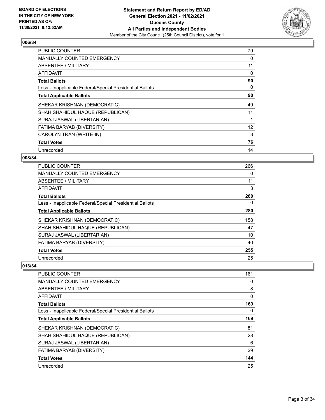

| PUBLIC COUNTER                                           | 79                |
|----------------------------------------------------------|-------------------|
| <b>MANUALLY COUNTED EMERGENCY</b>                        | 0                 |
| <b>ABSENTEE / MILITARY</b>                               | 11                |
| AFFIDAVIT                                                | 0                 |
| <b>Total Ballots</b>                                     | 90                |
| Less - Inapplicable Federal/Special Presidential Ballots | 0                 |
| <b>Total Applicable Ballots</b>                          | 90                |
| SHEKAR KRISHNAN (DEMOCRATIC)                             | 49                |
| SHAH SHAHIDUL HAQUE (REPUBLICAN)                         | 11                |
| SURAJ JASWAL (LIBERTARIAN)                               |                   |
| FATIMA BARYAB (DIVERSITY)                                | $12 \overline{ }$ |
| CAROLYN TRAN (WRITE-IN)                                  | 3                 |
| <b>Total Votes</b>                                       | 76                |
| Unrecorded                                               | 14                |

## **008/34**

| <b>PUBLIC COUNTER</b>                                    | 266      |
|----------------------------------------------------------|----------|
| <b>MANUALLY COUNTED EMERGENCY</b>                        | $\Omega$ |
| ABSENTEE / MILITARY                                      | 11       |
| AFFIDAVIT                                                | 3        |
| <b>Total Ballots</b>                                     | 280      |
| Less - Inapplicable Federal/Special Presidential Ballots | 0        |
| <b>Total Applicable Ballots</b>                          | 280      |
| SHEKAR KRISHNAN (DEMOCRATIC)                             | 158      |
| SHAH SHAHIDUL HAQUE (REPUBLICAN)                         | 47       |
| SURAJ JASWAL (LIBERTARIAN)                               | 10       |
| FATIMA BARYAB (DIVERSITY)                                | 40       |
| <b>Total Votes</b>                                       | 255      |
| Unrecorded                                               | 25       |

| <b>PUBLIC COUNTER</b>                                    | 161 |
|----------------------------------------------------------|-----|
| MANUALLY COUNTED EMERGENCY                               | 0   |
| ABSENTEE / MILITARY                                      | 8   |
| AFFIDAVIT                                                | 0   |
| <b>Total Ballots</b>                                     | 169 |
| Less - Inapplicable Federal/Special Presidential Ballots | 0   |
| <b>Total Applicable Ballots</b>                          | 169 |
| SHEKAR KRISHNAN (DEMOCRATIC)                             | 81  |
| SHAH SHAHIDUL HAQUE (REPUBLICAN)                         | 28  |
| SURAJ JASWAL (LIBERTARIAN)                               | 6   |
| FATIMA BARYAB (DIVERSITY)                                | 29  |
| <b>Total Votes</b>                                       | 144 |
| Unrecorded                                               | 25  |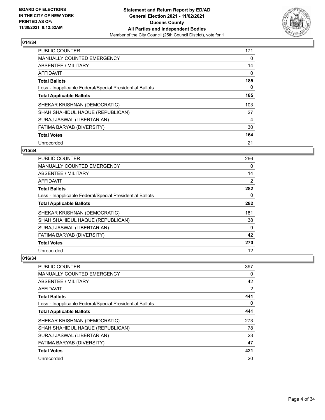

| <b>PUBLIC COUNTER</b>                                    | 171 |
|----------------------------------------------------------|-----|
| <b>MANUALLY COUNTED EMERGENCY</b>                        | 0   |
| ABSENTEE / MILITARY                                      | 14  |
| <b>AFFIDAVIT</b>                                         | 0   |
| <b>Total Ballots</b>                                     | 185 |
| Less - Inapplicable Federal/Special Presidential Ballots | 0   |
| <b>Total Applicable Ballots</b>                          | 185 |
| SHEKAR KRISHNAN (DEMOCRATIC)                             | 103 |
| SHAH SHAHIDUL HAQUE (REPUBLICAN)                         | 27  |
| SURAJ JASWAL (LIBERTARIAN)                               | 4   |
| FATIMA BARYAB (DIVERSITY)                                | 30  |
| <b>Total Votes</b>                                       | 164 |
| Unrecorded                                               | 21  |

## **015/34**

| <b>PUBLIC COUNTER</b>                                    | 266 |
|----------------------------------------------------------|-----|
| <b>MANUALLY COUNTED EMERGENCY</b>                        | 0   |
| ABSENTEE / MILITARY                                      | 14  |
| AFFIDAVIT                                                | 2   |
| <b>Total Ballots</b>                                     | 282 |
| Less - Inapplicable Federal/Special Presidential Ballots | 0   |
| <b>Total Applicable Ballots</b>                          | 282 |
| SHEKAR KRISHNAN (DEMOCRATIC)                             | 181 |
| SHAH SHAHIDUL HAQUE (REPUBLICAN)                         | 38  |
| SURAJ JASWAL (LIBERTARIAN)                               | 9   |
| <b>FATIMA BARYAB (DIVERSITY)</b>                         | 42  |
| <b>Total Votes</b>                                       | 270 |
| Unrecorded                                               | 12  |

| <b>PUBLIC COUNTER</b>                                    | 397            |
|----------------------------------------------------------|----------------|
| <b>MANUALLY COUNTED EMERGENCY</b>                        | $\Omega$       |
| ABSENTEE / MILITARY                                      | 42             |
| AFFIDAVIT                                                | $\overline{2}$ |
| <b>Total Ballots</b>                                     | 441            |
| Less - Inapplicable Federal/Special Presidential Ballots | $\Omega$       |
| <b>Total Applicable Ballots</b>                          | 441            |
| SHEKAR KRISHNAN (DEMOCRATIC)                             | 273            |
| SHAH SHAHIDUL HAQUE (REPUBLICAN)                         | 78             |
| SURAJ JASWAL (LIBERTARIAN)                               | 23             |
| FATIMA BARYAB (DIVERSITY)                                | 47             |
| <b>Total Votes</b>                                       | 421            |
| Unrecorded                                               | 20             |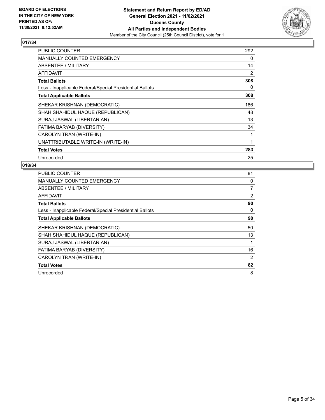

| PUBLIC COUNTER                                           | 292 |
|----------------------------------------------------------|-----|
| MANUALLY COUNTED EMERGENCY                               | 0   |
| ABSENTEE / MILITARY                                      | 14  |
| <b>AFFIDAVIT</b>                                         | 2   |
| <b>Total Ballots</b>                                     | 308 |
| Less - Inapplicable Federal/Special Presidential Ballots | 0   |
| <b>Total Applicable Ballots</b>                          | 308 |
| SHEKAR KRISHNAN (DEMOCRATIC)                             | 186 |
| SHAH SHAHIDUL HAQUE (REPUBLICAN)                         | 48  |
| SURAJ JASWAL (LIBERTARIAN)                               | 13  |
| FATIMA BARYAB (DIVERSITY)                                | 34  |
| CAROLYN TRAN (WRITE-IN)                                  |     |
| UNATTRIBUTABLE WRITE-IN (WRITE-IN)                       | 1   |
| <b>Total Votes</b>                                       | 283 |
| Unrecorded                                               | 25  |

| <b>PUBLIC COUNTER</b>                                    | 81             |
|----------------------------------------------------------|----------------|
| <b>MANUALLY COUNTED EMERGENCY</b>                        | 0              |
| <b>ABSENTEE / MILITARY</b>                               | 7              |
| AFFIDAVIT                                                | $\overline{2}$ |
| <b>Total Ballots</b>                                     | 90             |
| Less - Inapplicable Federal/Special Presidential Ballots | 0              |
| <b>Total Applicable Ballots</b>                          | 90             |
| SHEKAR KRISHNAN (DEMOCRATIC)                             | 50             |
| SHAH SHAHIDUL HAQUE (REPUBLICAN)                         | 13             |
| SURAJ JASWAL (LIBERTARIAN)                               |                |
| FATIMA BARYAB (DIVERSITY)                                | 16             |
| CAROLYN TRAN (WRITE-IN)                                  | 2              |
| <b>Total Votes</b>                                       | 82             |
| Unrecorded                                               | 8              |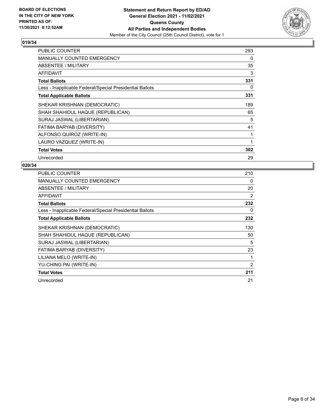

| <b>PUBLIC COUNTER</b>                                    | 293 |
|----------------------------------------------------------|-----|
| <b>MANUALLY COUNTED EMERGENCY</b>                        | 0   |
| ABSENTEE / MILITARY                                      | 35  |
| AFFIDAVIT                                                | 3   |
| <b>Total Ballots</b>                                     | 331 |
| Less - Inapplicable Federal/Special Presidential Ballots | 0   |
| <b>Total Applicable Ballots</b>                          | 331 |
| SHEKAR KRISHNAN (DEMOCRATIC)                             | 189 |
| SHAH SHAHIDUL HAQUE (REPUBLICAN)                         | 65  |
| SURAJ JASWAL (LIBERTARIAN)                               | 5   |
| FATIMA BARYAB (DIVERSITY)                                | 41  |
| ALFONSO QUIROZ (WRITE-IN)                                |     |
| LAURO VAZQUEZ (WRITE-IN)                                 | 1   |
| <b>Total Votes</b>                                       | 302 |
| Unrecorded                                               | 29  |

| <b>PUBLIC COUNTER</b>                                    | 210            |
|----------------------------------------------------------|----------------|
| MANUALLY COUNTED EMERGENCY                               | $\Omega$       |
| <b>ABSENTEE / MILITARY</b>                               | 20             |
| AFFIDAVIT                                                | 2              |
| <b>Total Ballots</b>                                     | 232            |
| Less - Inapplicable Federal/Special Presidential Ballots | 0              |
| <b>Total Applicable Ballots</b>                          | 232            |
| SHEKAR KRISHNAN (DEMOCRATIC)                             | 130            |
| SHAH SHAHIDUL HAQUE (REPUBLICAN)                         | 50             |
| SURAJ JASWAL (LIBERTARIAN)                               | 5              |
| FATIMA BARYAB (DIVERSITY)                                | 23             |
| LILIANA MELO (WRITE-IN)                                  |                |
| YU-CHING PAI (WRITE-IN)                                  | $\overline{2}$ |
| <b>Total Votes</b>                                       | 211            |
| Unrecorded                                               | 21             |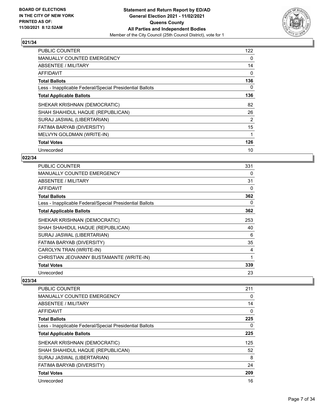

| PUBLIC COUNTER                                           | 122 |
|----------------------------------------------------------|-----|
| <b>MANUALLY COUNTED EMERGENCY</b>                        | 0   |
| ABSENTEE / MILITARY                                      | 14  |
| AFFIDAVIT                                                | 0   |
| <b>Total Ballots</b>                                     | 136 |
| Less - Inapplicable Federal/Special Presidential Ballots | 0   |
| <b>Total Applicable Ballots</b>                          | 136 |
| SHEKAR KRISHNAN (DEMOCRATIC)                             | 82  |
| SHAH SHAHIDUL HAQUE (REPUBLICAN)                         | 26  |
| SURAJ JASWAL (LIBERTARIAN)                               | 2   |
| FATIMA BARYAB (DIVERSITY)                                | 15  |
| MELVYN GOLDMAN (WRITE-IN)                                | 1   |
| <b>Total Votes</b>                                       | 126 |
| Unrecorded                                               | 10  |

## **022/34**

| <b>PUBLIC COUNTER</b>                                    | 331 |
|----------------------------------------------------------|-----|
| <b>MANUALLY COUNTED EMERGENCY</b>                        | 0   |
| ABSENTEE / MILITARY                                      | 31  |
| AFFIDAVIT                                                | 0   |
| <b>Total Ballots</b>                                     | 362 |
| Less - Inapplicable Federal/Special Presidential Ballots | 0   |
| <b>Total Applicable Ballots</b>                          | 362 |
| SHEKAR KRISHNAN (DEMOCRATIC)                             | 253 |
| SHAH SHAHIDUL HAQUE (REPUBLICAN)                         | 40  |
| SURAJ JASWAL (LIBERTARIAN)                               | 6   |
| FATIMA BARYAB (DIVERSITY)                                | 35  |
| CAROLYN TRAN (WRITE-IN)                                  | 4   |
| CHRISTIAN JEOVANNY BUSTAMANTE (WRITE-IN)                 | 1   |
| <b>Total Votes</b>                                       | 339 |
| Unrecorded                                               | 23  |

| <b>PUBLIC COUNTER</b>                                    | 211      |
|----------------------------------------------------------|----------|
| <b>MANUALLY COUNTED EMERGENCY</b>                        | 0        |
| ABSENTEE / MILITARY                                      | 14       |
| <b>AFFIDAVIT</b>                                         | 0        |
| <b>Total Ballots</b>                                     | 225      |
| Less - Inapplicable Federal/Special Presidential Ballots | $\Omega$ |
| <b>Total Applicable Ballots</b>                          | 225      |
| SHEKAR KRISHNAN (DEMOCRATIC)                             | 125      |
| SHAH SHAHIDUL HAQUE (REPUBLICAN)                         | 52       |
| SURAJ JASWAL (LIBERTARIAN)                               | 8        |
| FATIMA BARYAB (DIVERSITY)                                | 24       |
| <b>Total Votes</b>                                       | 209      |
| Unrecorded                                               | 16       |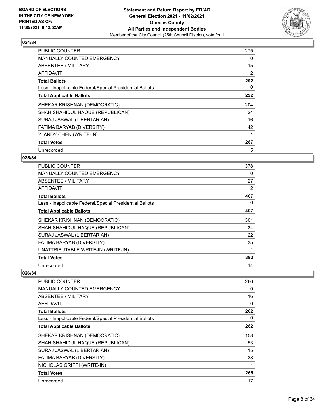

| <b>PUBLIC COUNTER</b>                                    | 275 |
|----------------------------------------------------------|-----|
| <b>MANUALLY COUNTED EMERGENCY</b>                        | 0   |
| ABSENTEE / MILITARY                                      | 15  |
| AFFIDAVIT                                                | 2   |
| <b>Total Ballots</b>                                     | 292 |
| Less - Inapplicable Federal/Special Presidential Ballots | 0   |
| <b>Total Applicable Ballots</b>                          | 292 |
| SHEKAR KRISHNAN (DEMOCRATIC)                             | 204 |
| SHAH SHAHIDUL HAQUE (REPUBLICAN)                         | 24  |
| SURAJ JASWAL (LIBERTARIAN)                               | 16  |
| FATIMA BARYAB (DIVERSITY)                                | 42  |
| YI ANDY CHEN (WRITE-IN)                                  | 1   |
|                                                          |     |
| <b>Total Votes</b>                                       | 287 |

## **025/34**

| PUBLIC COUNTER                                           | 378 |
|----------------------------------------------------------|-----|
| <b>MANUALLY COUNTED EMERGENCY</b>                        | 0   |
| ABSENTEE / MILITARY                                      | 27  |
| AFFIDAVIT                                                | 2   |
| <b>Total Ballots</b>                                     | 407 |
| Less - Inapplicable Federal/Special Presidential Ballots | 0   |
| <b>Total Applicable Ballots</b>                          | 407 |
| SHEKAR KRISHNAN (DEMOCRATIC)                             | 301 |
| SHAH SHAHIDUL HAQUE (REPUBLICAN)                         | 34  |
| SURAJ JASWAL (LIBERTARIAN)                               | 22  |
| FATIMA BARYAB (DIVERSITY)                                | 35  |
| UNATTRIBUTABLE WRITE-IN (WRITE-IN)                       | 1   |
| <b>Total Votes</b>                                       | 393 |
| Unrecorded                                               | 14  |

| <b>PUBLIC COUNTER</b>                                    | 266 |
|----------------------------------------------------------|-----|
| MANUALLY COUNTED EMERGENCY                               | 0   |
| ABSENTEE / MILITARY                                      | 16  |
| <b>AFFIDAVIT</b>                                         | 0   |
| <b>Total Ballots</b>                                     | 282 |
| Less - Inapplicable Federal/Special Presidential Ballots | 0   |
| <b>Total Applicable Ballots</b>                          | 282 |
| SHEKAR KRISHNAN (DEMOCRATIC)                             | 158 |
| SHAH SHAHIDUL HAQUE (REPUBLICAN)                         | 53  |
| SURAJ JASWAL (LIBERTARIAN)                               | 15  |
| FATIMA BARYAB (DIVERSITY)                                | 38  |
| NICHOLAS GRIPPI (WRITE-IN)                               |     |
| <b>Total Votes</b>                                       | 265 |
| Unrecorded                                               | 17  |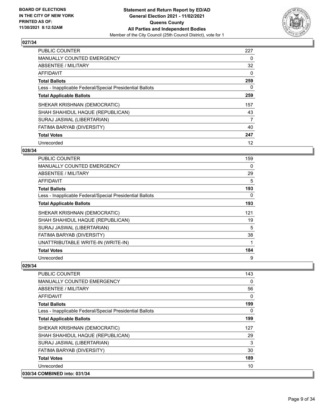

| <b>PUBLIC COUNTER</b>                                    | 227      |
|----------------------------------------------------------|----------|
| <b>MANUALLY COUNTED EMERGENCY</b>                        | 0        |
| ABSENTEE / MILITARY                                      | 32       |
| AFFIDAVIT                                                | $\Omega$ |
| <b>Total Ballots</b>                                     | 259      |
| Less - Inapplicable Federal/Special Presidential Ballots | 0        |
| <b>Total Applicable Ballots</b>                          | 259      |
| SHEKAR KRISHNAN (DEMOCRATIC)                             | 157      |
| SHAH SHAHIDUL HAQUE (REPUBLICAN)                         | 43       |
| SURAJ JASWAL (LIBERTARIAN)                               | 7        |
| FATIMA BARYAB (DIVERSITY)                                | 40       |
| <b>Total Votes</b>                                       | 247      |
| Unrecorded                                               | 12       |

## **028/34**

| <b>PUBLIC COUNTER</b>                                    | 159 |
|----------------------------------------------------------|-----|
| <b>MANUALLY COUNTED EMERGENCY</b>                        | 0   |
| ABSENTEE / MILITARY                                      | 29  |
| AFFIDAVIT                                                | 5   |
| <b>Total Ballots</b>                                     | 193 |
| Less - Inapplicable Federal/Special Presidential Ballots | 0   |
| <b>Total Applicable Ballots</b>                          | 193 |
| SHEKAR KRISHNAN (DEMOCRATIC)                             | 121 |
| SHAH SHAHIDUL HAQUE (REPUBLICAN)                         | 19  |
| SURAJ JASWAL (LIBERTARIAN)                               | 5   |
| <b>FATIMA BARYAB (DIVERSITY)</b>                         | 38  |
| UNATTRIBUTABLE WRITE-IN (WRITE-IN)                       | 1   |
| <b>Total Votes</b>                                       | 184 |
| Unrecorded                                               | 9   |

| PUBLIC COUNTER                                           | 143 |
|----------------------------------------------------------|-----|
| <b>MANUALLY COUNTED EMERGENCY</b>                        | 0   |
| <b>ABSENTEE / MILITARY</b>                               | 56  |
| <b>AFFIDAVIT</b>                                         | 0   |
| <b>Total Ballots</b>                                     | 199 |
| Less - Inapplicable Federal/Special Presidential Ballots | 0   |
| <b>Total Applicable Ballots</b>                          | 199 |
| SHEKAR KRISHNAN (DEMOCRATIC)                             | 127 |
| SHAH SHAHIDUL HAQUE (REPUBLICAN)                         | 29  |
| SURAJ JASWAL (LIBERTARIAN)                               | 3   |
| FATIMA BARYAB (DIVERSITY)                                | 30  |
| <b>Total Votes</b>                                       | 189 |
| Unrecorded                                               | 10  |
| 030/34 COMBINED into: 031/34                             |     |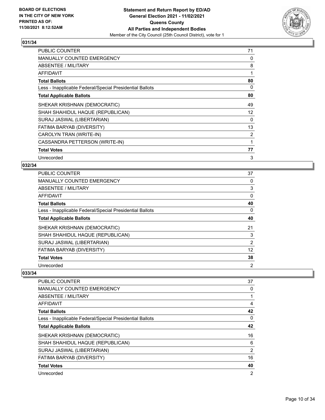

| PUBLIC COUNTER                                           | 71             |
|----------------------------------------------------------|----------------|
| <b>MANUALLY COUNTED EMERGENCY</b>                        | 0              |
| ABSENTEE / MILITARY                                      | 8              |
| AFFIDAVIT                                                | $\mathbf 1$    |
| <b>Total Ballots</b>                                     | 80             |
| Less - Inapplicable Federal/Special Presidential Ballots | 0              |
| <b>Total Applicable Ballots</b>                          | 80             |
| SHEKAR KRISHNAN (DEMOCRATIC)                             | 49             |
| SHAH SHAHIDUL HAQUE (REPUBLICAN)                         | 12             |
| SURAJ JASWAL (LIBERTARIAN)                               | $\Omega$       |
| FATIMA BARYAB (DIVERSITY)                                | 13             |
| CAROLYN TRAN (WRITE-IN)                                  | $\overline{2}$ |
| CASSANDRA PETTERSON (WRITE-IN)                           | 1              |
| <b>Total Votes</b>                                       | 77             |
| Unrecorded                                               | 3              |

## **032/34**

| PUBLIC COUNTER                                           | 37             |
|----------------------------------------------------------|----------------|
| <b>MANUALLY COUNTED EMERGENCY</b>                        | 0              |
| ABSENTEE / MILITARY                                      | 3              |
| AFFIDAVIT                                                | 0              |
| <b>Total Ballots</b>                                     | 40             |
| Less - Inapplicable Federal/Special Presidential Ballots | 0              |
| <b>Total Applicable Ballots</b>                          | 40             |
| SHEKAR KRISHNAN (DEMOCRATIC)                             | 21             |
| SHAH SHAHIDUL HAQUE (REPUBLICAN)                         | 3              |
| SURAJ JASWAL (LIBERTARIAN)                               | $\overline{2}$ |
| FATIMA BARYAB (DIVERSITY)                                | 12             |
| <b>Total Votes</b>                                       | 38             |
| Unrecorded                                               | 2              |

| <b>PUBLIC COUNTER</b>                                    | 37       |
|----------------------------------------------------------|----------|
| <b>MANUALLY COUNTED EMERGENCY</b>                        | 0        |
| ABSENTEE / MILITARY                                      |          |
| AFFIDAVIT                                                | 4        |
| <b>Total Ballots</b>                                     | 42       |
| Less - Inapplicable Federal/Special Presidential Ballots | $\Omega$ |
| <b>Total Applicable Ballots</b>                          | 42       |
| SHEKAR KRISHNAN (DEMOCRATIC)                             | 16       |
| SHAH SHAHIDUL HAQUE (REPUBLICAN)                         | 6        |
| SURAJ JASWAL (LIBERTARIAN)                               | 2        |
| FATIMA BARYAB (DIVERSITY)                                | 16       |
| <b>Total Votes</b>                                       | 40       |
| Unrecorded                                               | 2        |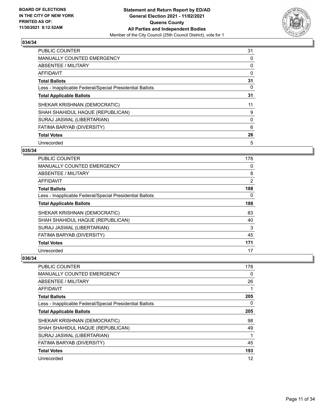

| <b>PUBLIC COUNTER</b>                                    | 31 |
|----------------------------------------------------------|----|
| <b>MANUALLY COUNTED EMERGENCY</b>                        | 0  |
| ABSENTEE / MILITARY                                      | 0  |
| <b>AFFIDAVIT</b>                                         | 0  |
| <b>Total Ballots</b>                                     | 31 |
| Less - Inapplicable Federal/Special Presidential Ballots | 0  |
| <b>Total Applicable Ballots</b>                          | 31 |
| SHEKAR KRISHNAN (DEMOCRATIC)                             | 11 |
| SHAH SHAHIDUL HAQUE (REPUBLICAN)                         | 9  |
| SURAJ JASWAL (LIBERTARIAN)                               | 0  |
| FATIMA BARYAB (DIVERSITY)                                | 6  |
| <b>Total Votes</b>                                       | 26 |
| Unrecorded                                               | 5  |

## **035/34**

| PUBLIC COUNTER                                           | 178      |
|----------------------------------------------------------|----------|
| <b>MANUALLY COUNTED EMERGENCY</b>                        | $\Omega$ |
| ABSENTEE / MILITARY                                      | 8        |
| AFFIDAVIT                                                | 2        |
| <b>Total Ballots</b>                                     | 188      |
| Less - Inapplicable Federal/Special Presidential Ballots | 0        |
| <b>Total Applicable Ballots</b>                          | 188      |
| SHEKAR KRISHNAN (DEMOCRATIC)                             | 83       |
| SHAH SHAHIDUL HAQUE (REPUBLICAN)                         | 40       |
| SURAJ JASWAL (LIBERTARIAN)                               | 3        |
| FATIMA BARYAB (DIVERSITY)                                | 45       |
| <b>Total Votes</b>                                       | 171      |
| Unrecorded                                               | 17       |

| PUBLIC COUNTER                                           | 178 |
|----------------------------------------------------------|-----|
| <b>MANUALLY COUNTED EMERGENCY</b>                        | 0   |
| ABSENTEE / MILITARY                                      | 26  |
| AFFIDAVIT                                                | 1   |
| <b>Total Ballots</b>                                     | 205 |
| Less - Inapplicable Federal/Special Presidential Ballots | 0   |
| <b>Total Applicable Ballots</b>                          | 205 |
| SHEKAR KRISHNAN (DEMOCRATIC)                             | 98  |
| SHAH SHAHIDUL HAQUE (REPUBLICAN)                         | 49  |
| SURAJ JASWAL (LIBERTARIAN)                               | 1   |
| <b>FATIMA BARYAB (DIVERSITY)</b>                         | 45  |
| <b>Total Votes</b>                                       | 193 |
| Unrecorded                                               | 12  |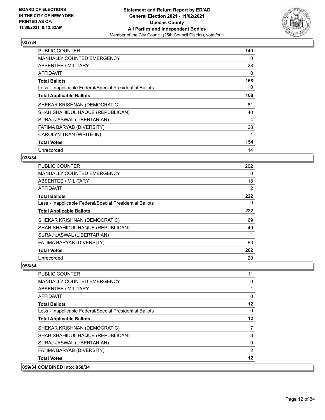

| <b>PUBLIC COUNTER</b>                                    | 140 |
|----------------------------------------------------------|-----|
| <b>MANUALLY COUNTED EMERGENCY</b>                        | 0   |
| <b>ABSENTEE / MILITARY</b>                               | 28  |
| <b>AFFIDAVIT</b>                                         | 0   |
| <b>Total Ballots</b>                                     | 168 |
| Less - Inapplicable Federal/Special Presidential Ballots | 0   |
| <b>Total Applicable Ballots</b>                          | 168 |
| SHEKAR KRISHNAN (DEMOCRATIC)                             | 81  |
| SHAH SHAHIDUL HAQUE (REPUBLICAN)                         | 40  |
| SURAJ JASWAL (LIBERTARIAN)                               | 4   |
| FATIMA BARYAB (DIVERSITY)                                | 28  |
| CAROLYN TRAN (WRITE-IN)                                  |     |
| <b>Total Votes</b>                                       | 154 |
| Unrecorded                                               | 14  |

## **038/34**

| PUBLIC COUNTER                                           | 202      |
|----------------------------------------------------------|----------|
| <b>MANUALLY COUNTED EMERGENCY</b>                        | $\Omega$ |
| ABSENTEE / MILITARY                                      | 18       |
| AFFIDAVIT                                                | 2        |
| <b>Total Ballots</b>                                     | 222      |
| Less - Inapplicable Federal/Special Presidential Ballots | 0        |
| <b>Total Applicable Ballots</b>                          | 222      |
| SHEKAR KRISHNAN (DEMOCRATIC)                             | 69       |
| SHAH SHAHIDUL HAQUE (REPUBLICAN)                         | 49       |
| SURAJ JASWAL (LIBERTARIAN)                               | 1        |
| FATIMA BARYAB (DIVERSITY)                                | 83       |
| <b>Total Votes</b>                                       | 202      |
| Unrecorded                                               | 20       |

| 059/34 COMBINED into: 058/34                             |                |
|----------------------------------------------------------|----------------|
| <b>Total Votes</b>                                       | 12             |
| FATIMA BARYAB (DIVERSITY)                                | $\overline{2}$ |
| SURAJ JASWAL (LIBERTARIAN)                               | 0              |
| SHAH SHAHIDUL HAQUE (REPUBLICAN)                         | 3              |
| SHEKAR KRISHNAN (DEMOCRATIC)                             | 7              |
| <b>Total Applicable Ballots</b>                          | 12             |
| Less - Inapplicable Federal/Special Presidential Ballots | $\mathbf{0}$   |
| <b>Total Ballots</b>                                     | 12             |
| <b>AFFIDAVIT</b>                                         | 0              |
| ABSENTEE / MILITARY                                      |                |
| <b>MANUALLY COUNTED EMERGENCY</b>                        | 0              |
| PUBLIC COUNTER                                           | 11             |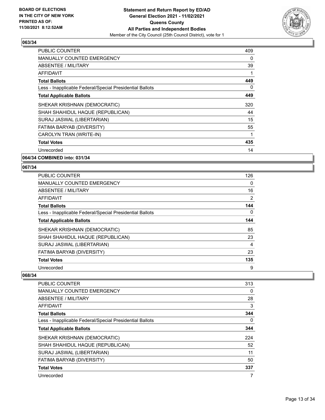

| <b>PUBLIC COUNTER</b>                                    | 409 |
|----------------------------------------------------------|-----|
| <b>MANUALLY COUNTED EMERGENCY</b>                        | 0   |
| ABSENTEE / MILITARY                                      | 39  |
| <b>AFFIDAVIT</b>                                         |     |
| <b>Total Ballots</b>                                     | 449 |
| Less - Inapplicable Federal/Special Presidential Ballots | 0   |
| <b>Total Applicable Ballots</b>                          | 449 |
| SHEKAR KRISHNAN (DEMOCRATIC)                             | 320 |
| SHAH SHAHIDUL HAQUE (REPUBLICAN)                         | 44  |
| SURAJ JASWAL (LIBERTARIAN)                               | 15  |
| FATIMA BARYAB (DIVERSITY)                                | 55  |
| CAROLYN TRAN (WRITE-IN)                                  | 1   |
| <b>Total Votes</b>                                       | 435 |
| Unrecorded                                               | 14  |

**064/34 COMBINED into: 031/34**

#### **067/34**

| PUBLIC COUNTER                                           | 126            |
|----------------------------------------------------------|----------------|
| <b>MANUALLY COUNTED EMERGENCY</b>                        | 0              |
| ABSENTEE / MILITARY                                      | 16             |
| AFFIDAVIT                                                | $\overline{2}$ |
| <b>Total Ballots</b>                                     | 144            |
| Less - Inapplicable Federal/Special Presidential Ballots | 0              |
| <b>Total Applicable Ballots</b>                          | 144            |
| SHEKAR KRISHNAN (DEMOCRATIC)                             | 85             |
| SHAH SHAHIDUL HAQUE (REPUBLICAN)                         | 23             |
| SURAJ JASWAL (LIBERTARIAN)                               | 4              |
| FATIMA BARYAB (DIVERSITY)                                | 23             |
| <b>Total Votes</b>                                       | 135            |
| Unrecorded                                               | 9              |

| <b>PUBLIC COUNTER</b>                                    | 313      |
|----------------------------------------------------------|----------|
| <b>MANUALLY COUNTED EMERGENCY</b>                        | 0        |
| ABSENTEE / MILITARY                                      | 28       |
| AFFIDAVIT                                                | 3        |
| <b>Total Ballots</b>                                     | 344      |
| Less - Inapplicable Federal/Special Presidential Ballots | $\Omega$ |
| <b>Total Applicable Ballots</b>                          | 344      |
| SHEKAR KRISHNAN (DEMOCRATIC)                             | 224      |
| SHAH SHAHIDUL HAQUE (REPUBLICAN)                         | 52       |
| SURAJ JASWAL (LIBERTARIAN)                               | 11       |
| FATIMA BARYAB (DIVERSITY)                                | 50       |
| <b>Total Votes</b>                                       | 337      |
| Unrecorded                                               | 7        |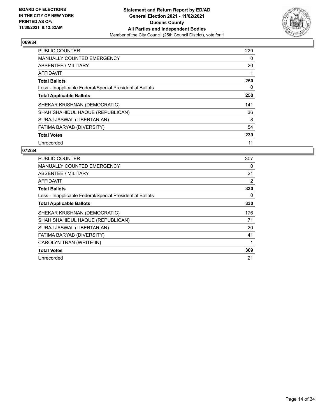

| <b>PUBLIC COUNTER</b>                                    | 229 |
|----------------------------------------------------------|-----|
| <b>MANUALLY COUNTED EMERGENCY</b>                        | 0   |
| ABSENTEE / MILITARY                                      | 20  |
| <b>AFFIDAVIT</b>                                         |     |
| <b>Total Ballots</b>                                     | 250 |
| Less - Inapplicable Federal/Special Presidential Ballots | 0   |
| <b>Total Applicable Ballots</b>                          | 250 |
| SHEKAR KRISHNAN (DEMOCRATIC)                             | 141 |
| SHAH SHAHIDUL HAQUE (REPUBLICAN)                         | 36  |
| SURAJ JASWAL (LIBERTARIAN)                               | 8   |
| FATIMA BARYAB (DIVERSITY)                                | 54  |
| <b>Total Votes</b>                                       | 239 |
| Unrecorded                                               | 11  |

| PUBLIC COUNTER                                           | 307 |
|----------------------------------------------------------|-----|
| <b>MANUALLY COUNTED EMERGENCY</b>                        | 0   |
| ABSENTEE / MILITARY                                      | 21  |
| <b>AFFIDAVIT</b>                                         | 2   |
| <b>Total Ballots</b>                                     | 330 |
| Less - Inapplicable Federal/Special Presidential Ballots | 0   |
| <b>Total Applicable Ballots</b>                          | 330 |
| SHEKAR KRISHNAN (DEMOCRATIC)                             | 176 |
| SHAH SHAHIDUL HAQUE (REPUBLICAN)                         | 71  |
| SURAJ JASWAL (LIBERTARIAN)                               | 20  |
| FATIMA BARYAB (DIVERSITY)                                | 41  |
| CAROLYN TRAN (WRITE-IN)                                  | 1   |
| <b>Total Votes</b>                                       | 309 |
| Unrecorded                                               | 21  |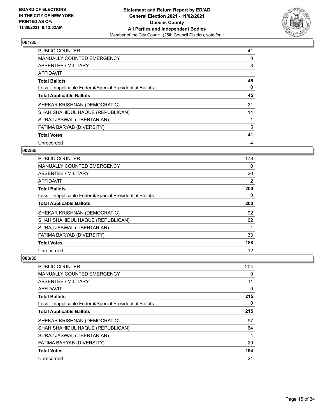

| <b>PUBLIC COUNTER</b>                                    | 41 |
|----------------------------------------------------------|----|
| <b>MANUALLY COUNTED EMERGENCY</b>                        | 0  |
| ABSENTEE / MILITARY                                      | 3  |
| AFFIDAVIT                                                |    |
| <b>Total Ballots</b>                                     | 45 |
| Less - Inapplicable Federal/Special Presidential Ballots | 0  |
| <b>Total Applicable Ballots</b>                          | 45 |
| SHEKAR KRISHNAN (DEMOCRATIC)                             | 21 |
| SHAH SHAHIDUL HAQUE (REPUBLICAN)                         | 14 |
| SURAJ JASWAL (LIBERTARIAN)                               |    |
| FATIMA BARYAB (DIVERSITY)                                | 5  |
| <b>Total Votes</b>                                       | 41 |
| Unrecorded                                               | 4  |

## **002/35**

| PUBLIC COUNTER                                           | 178 |
|----------------------------------------------------------|-----|
| <b>MANUALLY COUNTED EMERGENCY</b>                        | 0   |
| ABSENTEE / MILITARY                                      | 20  |
| AFFIDAVIT                                                | 2   |
| <b>Total Ballots</b>                                     | 200 |
| Less - Inapplicable Federal/Special Presidential Ballots | 0   |
| <b>Total Applicable Ballots</b>                          | 200 |
| SHEKAR KRISHNAN (DEMOCRATIC)                             | 92  |
| SHAH SHAHIDUL HAQUE (REPUBLICAN)                         | 62  |
| SURAJ JASWAL (LIBERTARIAN)                               |     |
| FATIMA BARYAB (DIVERSITY)                                | 33  |
| <b>Total Votes</b>                                       | 188 |
| Unrecorded                                               | 12  |

| PUBLIC COUNTER                                           | 204      |
|----------------------------------------------------------|----------|
| <b>MANUALLY COUNTED EMERGENCY</b>                        | 0        |
| ABSENTEE / MILITARY                                      | 11       |
| AFFIDAVIT                                                | 0        |
| <b>Total Ballots</b>                                     | 215      |
| Less - Inapplicable Federal/Special Presidential Ballots | $\Omega$ |
| <b>Total Applicable Ballots</b>                          | 215      |
| SHEKAR KRISHNAN (DEMOCRATIC)                             | 97       |
| SHAH SHAHIDUL HAQUE (REPUBLICAN)                         | 64       |
| SURAJ JASWAL (LIBERTARIAN)                               | 4        |
| FATIMA BARYAB (DIVERSITY)                                | 29       |
| <b>Total Votes</b>                                       | 194      |
| Unrecorded                                               | 21       |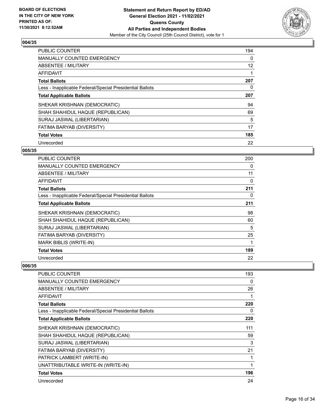

| PUBLIC COUNTER                                           | 194               |
|----------------------------------------------------------|-------------------|
| <b>MANUALLY COUNTED EMERGENCY</b>                        | 0                 |
| ABSENTEE / MILITARY                                      | $12 \overline{ }$ |
| <b>AFFIDAVIT</b>                                         |                   |
| <b>Total Ballots</b>                                     | 207               |
| Less - Inapplicable Federal/Special Presidential Ballots | 0                 |
| <b>Total Applicable Ballots</b>                          | 207               |
| SHEKAR KRISHNAN (DEMOCRATIC)                             | 94                |
| SHAH SHAHIDUL HAQUE (REPUBLICAN)                         | 69                |
| SURAJ JASWAL (LIBERTARIAN)                               | 5                 |
| FATIMA BARYAB (DIVERSITY)                                | 17                |
| <b>Total Votes</b>                                       | 185               |
| Unrecorded                                               | 22                |

#### **005/35**

| PUBLIC COUNTER                                           | 200 |
|----------------------------------------------------------|-----|
| <b>MANUALLY COUNTED EMERGENCY</b>                        | 0   |
| ABSENTEE / MILITARY                                      | 11  |
| AFFIDAVIT                                                | 0   |
| <b>Total Ballots</b>                                     | 211 |
| Less - Inapplicable Federal/Special Presidential Ballots | 0   |
| <b>Total Applicable Ballots</b>                          | 211 |
| SHEKAR KRISHNAN (DEMOCRATIC)                             | 98  |
| SHAH SHAHIDUL HAQUE (REPUBLICAN)                         | 60  |
| SURAJ JASWAL (LIBERTARIAN)                               | 5   |
| FATIMA BARYAB (DIVERSITY)                                | 25  |
| <b>MARK BIBLIS (WRITE-IN)</b>                            | 1   |
| <b>Total Votes</b>                                       | 189 |
| Unrecorded                                               | 22  |

| PUBLIC COUNTER                                           | 193 |
|----------------------------------------------------------|-----|
| <b>MANUALLY COUNTED EMERGENCY</b>                        | 0   |
| ABSENTEE / MILITARY                                      | 26  |
| AFFIDAVIT                                                |     |
| <b>Total Ballots</b>                                     | 220 |
| Less - Inapplicable Federal/Special Presidential Ballots | 0   |
| <b>Total Applicable Ballots</b>                          | 220 |
| SHEKAR KRISHNAN (DEMOCRATIC)                             | 111 |
| SHAH SHAHIDUL HAQUE (REPUBLICAN)                         | 59  |
| SURAJ JASWAL (LIBERTARIAN)                               | 3   |
| FATIMA BARYAB (DIVERSITY)                                | 21  |
| PATRICK LAMBERT (WRITE-IN)                               |     |
| UNATTRIBUTABLE WRITE-IN (WRITE-IN)                       | 1   |
| <b>Total Votes</b>                                       | 196 |
| Unrecorded                                               | 24  |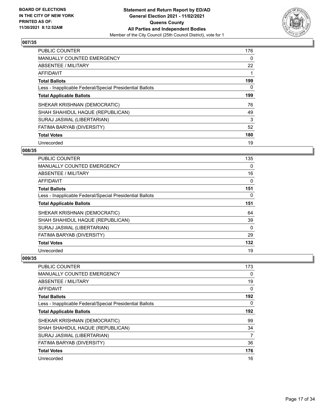

| <b>PUBLIC COUNTER</b>                                    | 176 |
|----------------------------------------------------------|-----|
| <b>MANUALLY COUNTED EMERGENCY</b>                        | 0   |
| ABSENTEE / MILITARY                                      | 22  |
| AFFIDAVIT                                                |     |
| <b>Total Ballots</b>                                     | 199 |
| Less - Inapplicable Federal/Special Presidential Ballots | 0   |
| <b>Total Applicable Ballots</b>                          | 199 |
| SHEKAR KRISHNAN (DEMOCRATIC)                             | 76  |
| SHAH SHAHIDUL HAQUE (REPUBLICAN)                         | 49  |
| SURAJ JASWAL (LIBERTARIAN)                               | 3   |
| FATIMA BARYAB (DIVERSITY)                                | 52  |
| <b>Total Votes</b>                                       | 180 |
| Unrecorded                                               | 19  |

#### **008/35**

| PUBLIC COUNTER                                           | 135      |
|----------------------------------------------------------|----------|
| <b>MANUALLY COUNTED EMERGENCY</b>                        | $\Omega$ |
| ABSENTEE / MILITARY                                      | 16       |
| AFFIDAVIT                                                | 0        |
| <b>Total Ballots</b>                                     | 151      |
| Less - Inapplicable Federal/Special Presidential Ballots | 0        |
| <b>Total Applicable Ballots</b>                          | 151      |
| SHEKAR KRISHNAN (DEMOCRATIC)                             | 64       |
| SHAH SHAHIDUL HAQUE (REPUBLICAN)                         | 39       |
| SURAJ JASWAL (LIBERTARIAN)                               | 0        |
| FATIMA BARYAB (DIVERSITY)                                | 29       |
| <b>Total Votes</b>                                       | 132      |
| Unrecorded                                               | 19       |

| PUBLIC COUNTER                                           | 173 |
|----------------------------------------------------------|-----|
| <b>MANUALLY COUNTED EMERGENCY</b>                        | 0   |
| ABSENTEE / MILITARY                                      | 19  |
| AFFIDAVIT                                                | 0   |
| <b>Total Ballots</b>                                     | 192 |
| Less - Inapplicable Federal/Special Presidential Ballots | 0   |
| <b>Total Applicable Ballots</b>                          | 192 |
| SHEKAR KRISHNAN (DEMOCRATIC)                             | 99  |
| SHAH SHAHIDUL HAQUE (REPUBLICAN)                         | 34  |
| SURAJ JASWAL (LIBERTARIAN)                               | 7   |
| <b>FATIMA BARYAB (DIVERSITY)</b>                         | 36  |
| <b>Total Votes</b>                                       | 176 |
| Unrecorded                                               | 16  |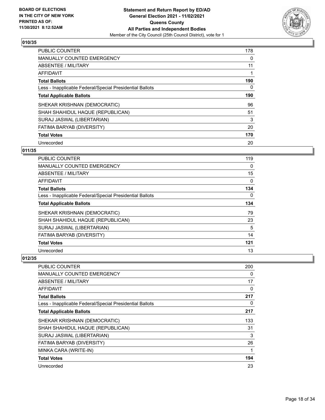

| <b>PUBLIC COUNTER</b>                                    | 178 |
|----------------------------------------------------------|-----|
| <b>MANUALLY COUNTED EMERGENCY</b>                        | 0   |
| ABSENTEE / MILITARY                                      | 11  |
| <b>AFFIDAVIT</b>                                         |     |
| <b>Total Ballots</b>                                     | 190 |
| Less - Inapplicable Federal/Special Presidential Ballots | 0   |
| <b>Total Applicable Ballots</b>                          | 190 |
| SHEKAR KRISHNAN (DEMOCRATIC)                             | 96  |
| SHAH SHAHIDUL HAQUE (REPUBLICAN)                         | 51  |
| SURAJ JASWAL (LIBERTARIAN)                               | 3   |
| FATIMA BARYAB (DIVERSITY)                                | 20  |
| <b>Total Votes</b>                                       | 170 |
| Unrecorded                                               | 20  |

## **011/35**

| <b>PUBLIC COUNTER</b>                                    | 119 |
|----------------------------------------------------------|-----|
| MANUALLY COUNTED EMERGENCY                               | 0   |
| ABSENTEE / MILITARY                                      | 15  |
| AFFIDAVIT                                                | 0   |
| <b>Total Ballots</b>                                     | 134 |
| Less - Inapplicable Federal/Special Presidential Ballots | 0   |
| <b>Total Applicable Ballots</b>                          | 134 |
| SHEKAR KRISHNAN (DEMOCRATIC)                             | 79  |
| SHAH SHAHIDUL HAQUE (REPUBLICAN)                         | 23  |
| SURAJ JASWAL (LIBERTARIAN)                               | 5   |
| FATIMA BARYAB (DIVERSITY)                                | 14  |
| <b>Total Votes</b>                                       | 121 |
| Unrecorded                                               | 13  |

| PUBLIC COUNTER                                           | 200      |
|----------------------------------------------------------|----------|
| <b>MANUALLY COUNTED EMERGENCY</b>                        | 0        |
| ABSENTEE / MILITARY                                      | 17       |
| AFFIDAVIT                                                | $\Omega$ |
| <b>Total Ballots</b>                                     | 217      |
| Less - Inapplicable Federal/Special Presidential Ballots | $\Omega$ |
| <b>Total Applicable Ballots</b>                          | 217      |
| SHEKAR KRISHNAN (DEMOCRATIC)                             | 133      |
| SHAH SHAHIDUL HAQUE (REPUBLICAN)                         | 31       |
| SURAJ JASWAL (LIBERTARIAN)                               | 3        |
| FATIMA BARYAB (DIVERSITY)                                | 26       |
| MINKA CARA (WRITE-IN)                                    | 1        |
| <b>Total Votes</b>                                       | 194      |
| Unrecorded                                               | 23       |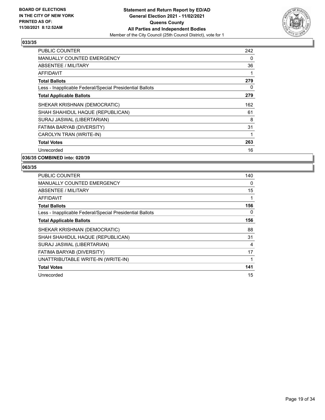

| <b>PUBLIC COUNTER</b>                                    | 242 |
|----------------------------------------------------------|-----|
| <b>MANUALLY COUNTED EMERGENCY</b>                        | 0   |
| <b>ABSENTEE / MILITARY</b>                               | 36  |
| AFFIDAVIT                                                | 1   |
| <b>Total Ballots</b>                                     | 279 |
| Less - Inapplicable Federal/Special Presidential Ballots | 0   |
| <b>Total Applicable Ballots</b>                          | 279 |
| SHEKAR KRISHNAN (DEMOCRATIC)                             | 162 |
| SHAH SHAHIDUL HAQUE (REPUBLICAN)                         | 61  |
| SURAJ JASWAL (LIBERTARIAN)                               | 8   |
| FATIMA BARYAB (DIVERSITY)                                | 31  |
| CAROLYN TRAN (WRITE-IN)                                  | 1   |
| <b>Total Votes</b>                                       | 263 |
| Unrecorded                                               | 16  |

**036/35 COMBINED into: 020/39**

| <b>PUBLIC COUNTER</b>                                    | 140 |
|----------------------------------------------------------|-----|
| <b>MANUALLY COUNTED EMERGENCY</b>                        | 0   |
| ABSENTEE / MILITARY                                      | 15  |
| AFFIDAVIT                                                |     |
| <b>Total Ballots</b>                                     | 156 |
| Less - Inapplicable Federal/Special Presidential Ballots | 0   |
| <b>Total Applicable Ballots</b>                          | 156 |
| SHEKAR KRISHNAN (DEMOCRATIC)                             | 88  |
| SHAH SHAHIDUL HAQUE (REPUBLICAN)                         | 31  |
| SURAJ JASWAL (LIBERTARIAN)                               | 4   |
| FATIMA BARYAB (DIVERSITY)                                | 17  |
| UNATTRIBUTABLE WRITE-IN (WRITE-IN)                       |     |
| <b>Total Votes</b>                                       | 141 |
| Unrecorded                                               | 15  |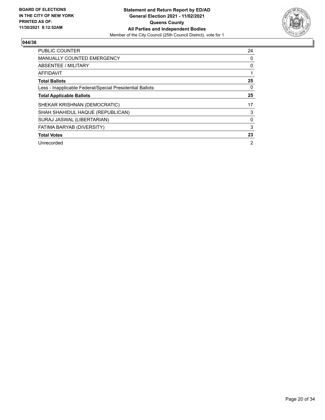

| PUBLIC COUNTER                                           | 24             |
|----------------------------------------------------------|----------------|
| <b>MANUALLY COUNTED EMERGENCY</b>                        | 0              |
| ABSENTEE / MILITARY                                      | 0              |
| <b>AFFIDAVIT</b>                                         |                |
| <b>Total Ballots</b>                                     | 25             |
| Less - Inapplicable Federal/Special Presidential Ballots | 0              |
| <b>Total Applicable Ballots</b>                          | 25             |
| SHEKAR KRISHNAN (DEMOCRATIC)                             | 17             |
| SHAH SHAHIDUL HAQUE (REPUBLICAN)                         | 3              |
| SURAJ JASWAL (LIBERTARIAN)                               | 0              |
| FATIMA BARYAB (DIVERSITY)                                | 3              |
| <b>Total Votes</b>                                       | 23             |
| Unrecorded                                               | $\overline{2}$ |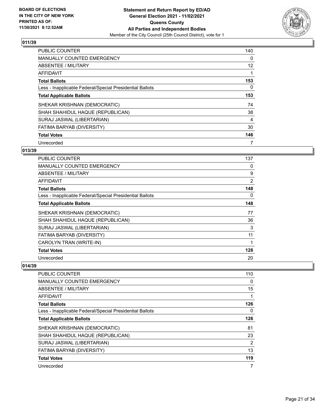

| <b>PUBLIC COUNTER</b>                                    | 140               |
|----------------------------------------------------------|-------------------|
| <b>MANUALLY COUNTED EMERGENCY</b>                        | 0                 |
| ABSENTEE / MILITARY                                      | $12 \overline{ }$ |
| <b>AFFIDAVIT</b>                                         |                   |
| <b>Total Ballots</b>                                     | 153               |
| Less - Inapplicable Federal/Special Presidential Ballots | $\Omega$          |
| <b>Total Applicable Ballots</b>                          | 153               |
| SHEKAR KRISHNAN (DEMOCRATIC)                             | 74                |
| SHAH SHAHIDUL HAQUE (REPUBLICAN)                         | 38                |
| SURAJ JASWAL (LIBERTARIAN)                               | 4                 |
| FATIMA BARYAB (DIVERSITY)                                | 30                |
| <b>Total Votes</b>                                       | 146               |
| Unrecorded                                               |                   |

## **013/39**

| PUBLIC COUNTER                                           | 137            |
|----------------------------------------------------------|----------------|
| <b>MANUALLY COUNTED EMERGENCY</b>                        | 0              |
| ABSENTEE / MILITARY                                      | 9              |
| AFFIDAVIT                                                | $\overline{2}$ |
| <b>Total Ballots</b>                                     | 148            |
| Less - Inapplicable Federal/Special Presidential Ballots | 0              |
| <b>Total Applicable Ballots</b>                          | 148            |
| SHEKAR KRISHNAN (DEMOCRATIC)                             | 77             |
| SHAH SHAHIDUL HAQUE (REPUBLICAN)                         | 36             |
| SURAJ JASWAL (LIBERTARIAN)                               | 3              |
| FATIMA BARYAB (DIVERSITY)                                | 11             |
| CAROLYN TRAN (WRITE-IN)                                  | 1              |
| <b>Total Votes</b>                                       | 128            |
| Unrecorded                                               | 20             |

| PUBLIC COUNTER                                           | 110 |
|----------------------------------------------------------|-----|
| MANUALLY COUNTED EMERGENCY                               | 0   |
| ABSENTEE / MILITARY                                      | 15  |
| AFFIDAVIT                                                | 1   |
| <b>Total Ballots</b>                                     | 126 |
| Less - Inapplicable Federal/Special Presidential Ballots | 0   |
| <b>Total Applicable Ballots</b>                          | 126 |
| SHEKAR KRISHNAN (DEMOCRATIC)                             | 81  |
| SHAH SHAHIDUL HAQUE (REPUBLICAN)                         | 23  |
| SURAJ JASWAL (LIBERTARIAN)                               | 2   |
| <b>FATIMA BARYAB (DIVERSITY)</b>                         | 13  |
| <b>Total Votes</b>                                       | 119 |
| Unrecorded                                               | 7   |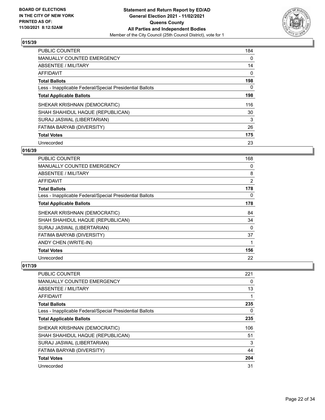

| <b>PUBLIC COUNTER</b>                                    | 184 |
|----------------------------------------------------------|-----|
| <b>MANUALLY COUNTED EMERGENCY</b>                        | 0   |
| ABSENTEE / MILITARY                                      | 14  |
| AFFIDAVIT                                                | 0   |
| <b>Total Ballots</b>                                     | 198 |
| Less - Inapplicable Federal/Special Presidential Ballots | 0   |
| <b>Total Applicable Ballots</b>                          | 198 |
| SHEKAR KRISHNAN (DEMOCRATIC)                             | 116 |
| SHAH SHAHIDUL HAQUE (REPUBLICAN)                         | 30  |
| SURAJ JASWAL (LIBERTARIAN)                               | 3   |
| FATIMA BARYAB (DIVERSITY)                                | 26  |
| <b>Total Votes</b>                                       | 175 |
| Unrecorded                                               | 23  |

## **016/39**

| PUBLIC COUNTER                                           | 168            |
|----------------------------------------------------------|----------------|
| <b>MANUALLY COUNTED EMERGENCY</b>                        | 0              |
| ABSENTEE / MILITARY                                      | 8              |
| AFFIDAVIT                                                | $\overline{2}$ |
| <b>Total Ballots</b>                                     | 178            |
| Less - Inapplicable Federal/Special Presidential Ballots | 0              |
| <b>Total Applicable Ballots</b>                          | 178            |
| SHEKAR KRISHNAN (DEMOCRATIC)                             | 84             |
| SHAH SHAHIDUL HAQUE (REPUBLICAN)                         | 34             |
| SURAJ JASWAL (LIBERTARIAN)                               | 0              |
| FATIMA BARYAB (DIVERSITY)                                | 37             |
| ANDY CHEN (WRITE-IN)                                     | 1              |
| <b>Total Votes</b>                                       | 156            |
| Unrecorded                                               | 22             |

| <b>PUBLIC COUNTER</b>                                    | 221 |
|----------------------------------------------------------|-----|
| <b>MANUALLY COUNTED EMERGENCY</b>                        | 0   |
| ABSENTEE / MILITARY                                      | 13  |
| AFFIDAVIT                                                |     |
| <b>Total Ballots</b>                                     | 235 |
| Less - Inapplicable Federal/Special Presidential Ballots | 0   |
| <b>Total Applicable Ballots</b>                          | 235 |
| SHEKAR KRISHNAN (DEMOCRATIC)                             | 106 |
| SHAH SHAHIDUL HAQUE (REPUBLICAN)                         | 51  |
| SURAJ JASWAL (LIBERTARIAN)                               | 3   |
| FATIMA BARYAB (DIVERSITY)                                | 44  |
| <b>Total Votes</b>                                       | 204 |
| Unrecorded                                               | 31  |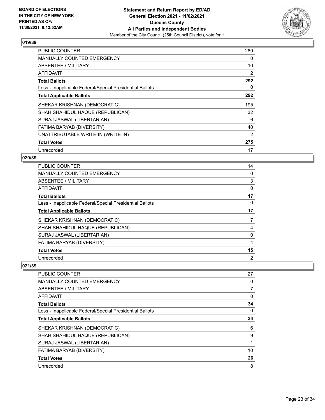

| <b>PUBLIC COUNTER</b>                                    | 280 |
|----------------------------------------------------------|-----|
| <b>MANUALLY COUNTED EMERGENCY</b>                        | 0   |
| ABSENTEE / MILITARY                                      | 10  |
| AFFIDAVIT                                                | 2   |
| <b>Total Ballots</b>                                     | 292 |
| Less - Inapplicable Federal/Special Presidential Ballots | 0   |
| <b>Total Applicable Ballots</b>                          | 292 |
| SHEKAR KRISHNAN (DEMOCRATIC)                             | 195 |
| SHAH SHAHIDUL HAQUE (REPUBLICAN)                         | 32  |
| SURAJ JASWAL (LIBERTARIAN)                               | 6   |
| FATIMA BARYAB (DIVERSITY)                                | 40  |
| UNATTRIBUTABLE WRITE-IN (WRITE-IN)                       | 2   |
|                                                          |     |
| <b>Total Votes</b>                                       | 275 |

## **020/39**

| PUBLIC COUNTER                                           | 14             |
|----------------------------------------------------------|----------------|
| <b>MANUALLY COUNTED EMERGENCY</b>                        | 0              |
| ABSENTEE / MILITARY                                      | 3              |
| AFFIDAVIT                                                | 0              |
| <b>Total Ballots</b>                                     | 17             |
| Less - Inapplicable Federal/Special Presidential Ballots | $\Omega$       |
| <b>Total Applicable Ballots</b>                          | 17             |
| SHEKAR KRISHNAN (DEMOCRATIC)                             | 7              |
| SHAH SHAHIDUL HAQUE (REPUBLICAN)                         | 4              |
| SURAJ JASWAL (LIBERTARIAN)                               | 0              |
| FATIMA BARYAB (DIVERSITY)                                | 4              |
| <b>Total Votes</b>                                       | 15             |
| Unrecorded                                               | $\overline{2}$ |

| PUBLIC COUNTER                                           | 27             |
|----------------------------------------------------------|----------------|
| MANUALLY COUNTED EMERGENCY                               | 0              |
| ABSENTEE / MILITARY                                      | $\overline{7}$ |
| AFFIDAVIT                                                | 0              |
| <b>Total Ballots</b>                                     | 34             |
| Less - Inapplicable Federal/Special Presidential Ballots | 0              |
| <b>Total Applicable Ballots</b>                          | 34             |
| SHEKAR KRISHNAN (DEMOCRATIC)                             | 6              |
| SHAH SHAHIDUL HAQUE (REPUBLICAN)                         | 9              |
| SURAJ JASWAL (LIBERTARIAN)                               |                |
| FATIMA BARYAB (DIVERSITY)                                | 10             |
| <b>Total Votes</b>                                       | 26             |
| Unrecorded                                               | 8              |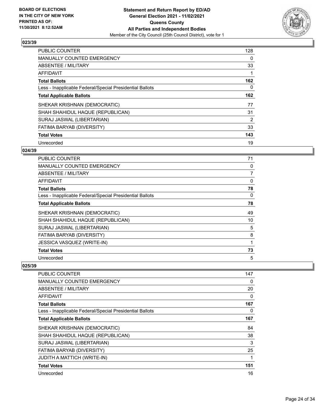

| <b>PUBLIC COUNTER</b>                                    | 128 |
|----------------------------------------------------------|-----|
| <b>MANUALLY COUNTED EMERGENCY</b>                        | 0   |
| ABSENTEE / MILITARY                                      | 33  |
| AFFIDAVIT                                                |     |
| <b>Total Ballots</b>                                     | 162 |
| Less - Inapplicable Federal/Special Presidential Ballots | 0   |
| <b>Total Applicable Ballots</b>                          | 162 |
| SHEKAR KRISHNAN (DEMOCRATIC)                             | 77  |
| SHAH SHAHIDUL HAQUE (REPUBLICAN)                         | 31  |
| SURAJ JASWAL (LIBERTARIAN)                               | 2   |
| FATIMA BARYAB (DIVERSITY)                                | 33  |
| <b>Total Votes</b>                                       | 143 |
| Unrecorded                                               | 19  |

## **024/39**

| PUBLIC COUNTER                                           | 71 |
|----------------------------------------------------------|----|
| MANUALLY COUNTED EMERGENCY                               | 0  |
| ABSENTEE / MILITARY                                      | 7  |
| AFFIDAVIT                                                | 0  |
| <b>Total Ballots</b>                                     | 78 |
| Less - Inapplicable Federal/Special Presidential Ballots | 0  |
| <b>Total Applicable Ballots</b>                          | 78 |
| SHEKAR KRISHNAN (DEMOCRATIC)                             | 49 |
| SHAH SHAHIDUL HAQUE (REPUBLICAN)                         | 10 |
| SURAJ JASWAL (LIBERTARIAN)                               | 5  |
| FATIMA BARYAB (DIVERSITY)                                | 8  |
| JESSICA VASQUEZ (WRITE-IN)                               | 1  |
| <b>Total Votes</b>                                       | 73 |
| Unrecorded                                               | 5  |

| <b>PUBLIC COUNTER</b>                                    | 147 |
|----------------------------------------------------------|-----|
| <b>MANUALLY COUNTED EMERGENCY</b>                        | 0   |
| <b>ABSENTEE / MILITARY</b>                               | 20  |
| <b>AFFIDAVIT</b>                                         | 0   |
| <b>Total Ballots</b>                                     | 167 |
| Less - Inapplicable Federal/Special Presidential Ballots | 0   |
| <b>Total Applicable Ballots</b>                          | 167 |
| SHEKAR KRISHNAN (DEMOCRATIC)                             | 84  |
| SHAH SHAHIDUL HAQUE (REPUBLICAN)                         | 38  |
| SURAJ JASWAL (LIBERTARIAN)                               | 3   |
| FATIMA BARYAB (DIVERSITY)                                | 25  |
| <b>JUDITH A MATTICH (WRITE-IN)</b>                       |     |
| <b>Total Votes</b>                                       | 151 |
|                                                          |     |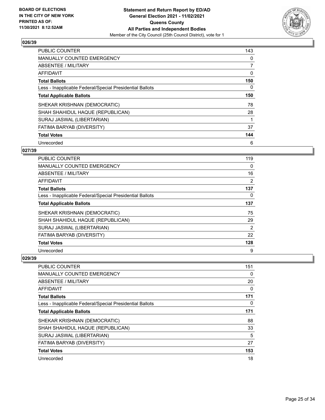

| <b>PUBLIC COUNTER</b>                                    | 143            |
|----------------------------------------------------------|----------------|
| <b>MANUALLY COUNTED EMERGENCY</b>                        | 0              |
| ABSENTEE / MILITARY                                      | $\overline{7}$ |
| AFFIDAVIT                                                | 0              |
| <b>Total Ballots</b>                                     | 150            |
| Less - Inapplicable Federal/Special Presidential Ballots | 0              |
| <b>Total Applicable Ballots</b>                          | 150            |
| SHEKAR KRISHNAN (DEMOCRATIC)                             | 78             |
| SHAH SHAHIDUL HAQUE (REPUBLICAN)                         | 28             |
| SURAJ JASWAL (LIBERTARIAN)                               |                |
| FATIMA BARYAB (DIVERSITY)                                | 37             |
| <b>Total Votes</b>                                       | 144            |
| Unrecorded                                               | 6              |

## **027/39**

| PUBLIC COUNTER                                           | 119      |
|----------------------------------------------------------|----------|
| <b>MANUALLY COUNTED EMERGENCY</b>                        | $\Omega$ |
| ABSENTEE / MILITARY                                      | 16       |
| AFFIDAVIT                                                | 2        |
| <b>Total Ballots</b>                                     | 137      |
| Less - Inapplicable Federal/Special Presidential Ballots | $\Omega$ |
| <b>Total Applicable Ballots</b>                          | 137      |
| SHEKAR KRISHNAN (DEMOCRATIC)                             | 75       |
| SHAH SHAHIDUL HAQUE (REPUBLICAN)                         | 29       |
| SURAJ JASWAL (LIBERTARIAN)                               | 2        |
| FATIMA BARYAB (DIVERSITY)                                | 22       |
| <b>Total Votes</b>                                       | 128      |
| Unrecorded                                               | 9        |

| PUBLIC COUNTER                                           | 151 |
|----------------------------------------------------------|-----|
| <b>MANUALLY COUNTED EMERGENCY</b>                        | 0   |
| ABSENTEE / MILITARY                                      | 20  |
| AFFIDAVIT                                                | 0   |
| <b>Total Ballots</b>                                     | 171 |
| Less - Inapplicable Federal/Special Presidential Ballots | 0   |
| <b>Total Applicable Ballots</b>                          | 171 |
| SHEKAR KRISHNAN (DEMOCRATIC)                             | 88  |
| SHAH SHAHIDUL HAQUE (REPUBLICAN)                         | 33  |
| SURAJ JASWAL (LIBERTARIAN)                               | 5   |
| <b>FATIMA BARYAB (DIVERSITY)</b>                         | 27  |
| <b>Total Votes</b>                                       | 153 |
| Unrecorded                                               | 18  |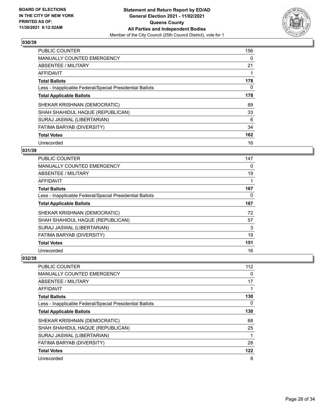

| <b>PUBLIC COUNTER</b>                                    | 156 |
|----------------------------------------------------------|-----|
| <b>MANUALLY COUNTED EMERGENCY</b>                        | 0   |
| ABSENTEE / MILITARY                                      | 21  |
| <b>AFFIDAVIT</b>                                         |     |
| <b>Total Ballots</b>                                     | 178 |
| Less - Inapplicable Federal/Special Presidential Ballots | 0   |
| <b>Total Applicable Ballots</b>                          | 178 |
| SHEKAR KRISHNAN (DEMOCRATIC)                             | 89  |
| SHAH SHAHIDUL HAQUE (REPUBLICAN)                         | 33  |
| SURAJ JASWAL (LIBERTARIAN)                               | 6   |
| FATIMA BARYAB (DIVERSITY)                                | 34  |
| <b>Total Votes</b>                                       | 162 |
| Unrecorded                                               | 16  |

## **031/39**

| <b>PUBLIC COUNTER</b>                                    | 147 |
|----------------------------------------------------------|-----|
| MANUALLY COUNTED EMERGENCY                               | 0   |
| ABSENTEE / MILITARY                                      | 19  |
| AFFIDAVIT                                                |     |
| <b>Total Ballots</b>                                     | 167 |
| Less - Inapplicable Federal/Special Presidential Ballots | 0   |
| <b>Total Applicable Ballots</b>                          | 167 |
| SHEKAR KRISHNAN (DEMOCRATIC)                             | 72  |
| SHAH SHAHIDUL HAQUE (REPUBLICAN)                         | 57  |
| SURAJ JASWAL (LIBERTARIAN)                               | 3   |
| FATIMA BARYAB (DIVERSITY)                                | 19  |
| <b>Total Votes</b>                                       | 151 |
| Unrecorded                                               | 16  |

| PUBLIC COUNTER                                           | 112      |
|----------------------------------------------------------|----------|
| <b>MANUALLY COUNTED EMERGENCY</b>                        | 0        |
| ABSENTEE / MILITARY                                      | 17       |
| AFFIDAVIT                                                |          |
| <b>Total Ballots</b>                                     | 130      |
| Less - Inapplicable Federal/Special Presidential Ballots | $\Omega$ |
| <b>Total Applicable Ballots</b>                          | 130      |
| SHEKAR KRISHNAN (DEMOCRATIC)                             | 68       |
| SHAH SHAHIDUL HAQUE (REPUBLICAN)                         | 25       |
| SURAJ JASWAL (LIBERTARIAN)                               | 1        |
| FATIMA BARYAB (DIVERSITY)                                | 28       |
| <b>Total Votes</b>                                       | 122      |
| Unrecorded                                               | 8        |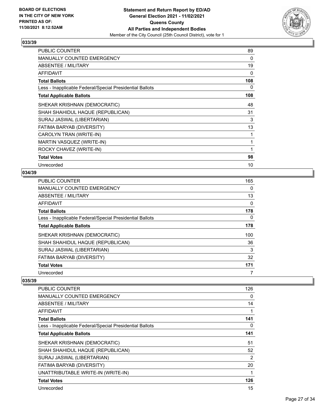

| <b>PUBLIC COUNTER</b>                                    | 89  |
|----------------------------------------------------------|-----|
| MANUALLY COUNTED EMERGENCY                               | 0   |
| ABSENTEE / MILITARY                                      | 19  |
| <b>AFFIDAVIT</b>                                         | 0   |
| <b>Total Ballots</b>                                     | 108 |
| Less - Inapplicable Federal/Special Presidential Ballots | 0   |
| <b>Total Applicable Ballots</b>                          | 108 |
| SHEKAR KRISHNAN (DEMOCRATIC)                             | 48  |
| SHAH SHAHIDUL HAQUE (REPUBLICAN)                         | 31  |
| SURAJ JASWAL (LIBERTARIAN)                               | 3   |
| FATIMA BARYAB (DIVERSITY)                                | 13  |
| CAROLYN TRAN (WRITE-IN)                                  | 1   |
| MARTIN VASQUEZ (WRITE-IN)                                |     |
| ROCKY CHAVEZ (WRITE-IN)                                  | 1   |
| <b>Total Votes</b>                                       | 98  |
| Unrecorded                                               | 10  |

## **034/39**

| PUBLIC COUNTER                                           | 165 |
|----------------------------------------------------------|-----|
| MANUALLY COUNTED EMERGENCY                               | 0   |
| ABSENTEE / MILITARY                                      | 13  |
| AFFIDAVIT                                                | 0   |
| <b>Total Ballots</b>                                     | 178 |
| Less - Inapplicable Federal/Special Presidential Ballots | 0   |
| <b>Total Applicable Ballots</b>                          | 178 |
| SHEKAR KRISHNAN (DEMOCRATIC)                             | 100 |
| SHAH SHAHIDUL HAQUE (REPUBLICAN)                         | 36  |
| SURAJ JASWAL (LIBERTARIAN)                               | 3   |
| FATIMA BARYAB (DIVERSITY)                                | 32  |
| <b>Total Votes</b>                                       | 171 |
| Unrecorded                                               | 7   |

| PUBLIC COUNTER                                           | 126 |
|----------------------------------------------------------|-----|
| <b>MANUALLY COUNTED EMERGENCY</b>                        | 0   |
| ABSENTEE / MILITARY                                      | 14  |
| AFFIDAVIT                                                | 1   |
| <b>Total Ballots</b>                                     | 141 |
| Less - Inapplicable Federal/Special Presidential Ballots | 0   |
| <b>Total Applicable Ballots</b>                          | 141 |
| SHEKAR KRISHNAN (DEMOCRATIC)                             | 51  |
| SHAH SHAHIDUL HAQUE (REPUBLICAN)                         | 52  |
| SURAJ JASWAL (LIBERTARIAN)                               | 2   |
| FATIMA BARYAB (DIVERSITY)                                | 20  |
| UNATTRIBUTABLE WRITE-IN (WRITE-IN)                       | 1   |
| <b>Total Votes</b>                                       | 126 |
| Unrecorded                                               | 15  |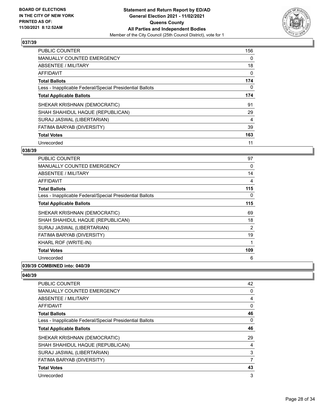

| <b>PUBLIC COUNTER</b>                                    | 156 |
|----------------------------------------------------------|-----|
| <b>MANUALLY COUNTED EMERGENCY</b>                        | 0   |
| ABSENTEE / MILITARY                                      | 18  |
| <b>AFFIDAVIT</b>                                         | 0   |
| <b>Total Ballots</b>                                     | 174 |
| Less - Inapplicable Federal/Special Presidential Ballots | 0   |
| <b>Total Applicable Ballots</b>                          | 174 |
| SHEKAR KRISHNAN (DEMOCRATIC)                             | 91  |
| SHAH SHAHIDUL HAQUE (REPUBLICAN)                         | 29  |
| SURAJ JASWAL (LIBERTARIAN)                               | 4   |
| FATIMA BARYAB (DIVERSITY)                                | 39  |
| <b>Total Votes</b>                                       | 163 |
| Unrecorded                                               | 11  |

## **038/39**

| <b>PUBLIC COUNTER</b>                                    | 97  |
|----------------------------------------------------------|-----|
| <b>MANUALLY COUNTED EMERGENCY</b>                        | 0   |
| ABSENTEE / MILITARY                                      | 14  |
| <b>AFFIDAVIT</b>                                         | 4   |
| <b>Total Ballots</b>                                     | 115 |
| Less - Inapplicable Federal/Special Presidential Ballots | 0   |
| <b>Total Applicable Ballots</b>                          | 115 |
| SHEKAR KRISHNAN (DEMOCRATIC)                             | 69  |
| SHAH SHAHIDUL HAQUE (REPUBLICAN)                         | 18  |
| SURAJ JASWAL (LIBERTARIAN)                               | 2   |
| FATIMA BARYAB (DIVERSITY)                                | 19  |
| KHARL ROF (WRITE-IN)                                     | 1   |
| <b>Total Votes</b>                                       | 109 |
| Unrecorded                                               | 6   |
|                                                          |     |

# **039/39 COMBINED into: 040/39**

| <b>PUBLIC COUNTER</b>                                    | 42 |
|----------------------------------------------------------|----|
| <b>MANUALLY COUNTED EMERGENCY</b>                        | 0  |
| ABSENTEE / MILITARY                                      | 4  |
| AFFIDAVIT                                                | 0  |
| <b>Total Ballots</b>                                     | 46 |
| Less - Inapplicable Federal/Special Presidential Ballots | 0  |
| <b>Total Applicable Ballots</b>                          | 46 |
| SHEKAR KRISHNAN (DEMOCRATIC)                             | 29 |
| SHAH SHAHIDUL HAQUE (REPUBLICAN)                         | 4  |
| SURAJ JASWAL (LIBERTARIAN)                               | 3  |
| FATIMA BARYAB (DIVERSITY)                                | 7  |
| <b>Total Votes</b>                                       | 43 |
| Unrecorded                                               | 3  |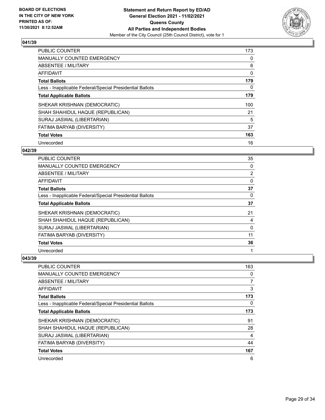

| <b>PUBLIC COUNTER</b>                                    | 173 |
|----------------------------------------------------------|-----|
| <b>MANUALLY COUNTED EMERGENCY</b>                        | 0   |
| ABSENTEE / MILITARY                                      | 6   |
| <b>AFFIDAVIT</b>                                         | 0   |
| <b>Total Ballots</b>                                     | 179 |
| Less - Inapplicable Federal/Special Presidential Ballots | 0   |
| <b>Total Applicable Ballots</b>                          | 179 |
| SHEKAR KRISHNAN (DEMOCRATIC)                             | 100 |
| SHAH SHAHIDUL HAQUE (REPUBLICAN)                         | 21  |
| SURAJ JASWAL (LIBERTARIAN)                               | 5   |
| FATIMA BARYAB (DIVERSITY)                                | 37  |
| <b>Total Votes</b>                                       | 163 |
| Unrecorded                                               | 16  |

## **042/39**

| PUBLIC COUNTER                                           | 35             |
|----------------------------------------------------------|----------------|
| MANUALLY COUNTED EMERGENCY                               | 0              |
| ABSENTEE / MILITARY                                      | $\overline{2}$ |
| AFFIDAVIT                                                | 0              |
| <b>Total Ballots</b>                                     | 37             |
| Less - Inapplicable Federal/Special Presidential Ballots | $\Omega$       |
| <b>Total Applicable Ballots</b>                          | 37             |
| SHEKAR KRISHNAN (DEMOCRATIC)                             | 21             |
| SHAH SHAHIDUL HAQUE (REPUBLICAN)                         | 4              |
| SURAJ JASWAL (LIBERTARIAN)                               | 0              |
| FATIMA BARYAB (DIVERSITY)                                | 11             |
| <b>Total Votes</b>                                       | 36             |
| Unrecorded                                               | 1              |

| <b>PUBLIC COUNTER</b>                                    | 163 |
|----------------------------------------------------------|-----|
| MANUALLY COUNTED EMERGENCY                               | 0   |
| ABSENTEE / MILITARY                                      | 7   |
| AFFIDAVIT                                                | 3   |
| <b>Total Ballots</b>                                     | 173 |
| Less - Inapplicable Federal/Special Presidential Ballots | 0   |
| <b>Total Applicable Ballots</b>                          | 173 |
| SHEKAR KRISHNAN (DEMOCRATIC)                             | 91  |
| SHAH SHAHIDUL HAQUE (REPUBLICAN)                         | 28  |
| SURAJ JASWAL (LIBERTARIAN)                               | 4   |
| FATIMA BARYAB (DIVERSITY)                                | 44  |
| <b>Total Votes</b>                                       | 167 |
| Unrecorded                                               | 6   |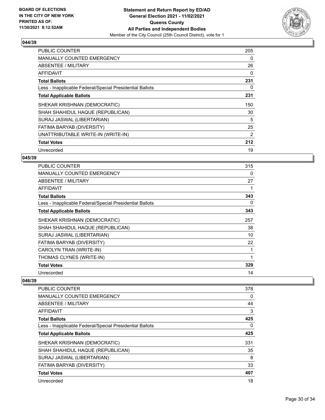

| <b>PUBLIC COUNTER</b>                                    | 205            |
|----------------------------------------------------------|----------------|
| <b>MANUALLY COUNTED EMERGENCY</b>                        | 0              |
| <b>ABSENTEE / MILITARY</b>                               | 26             |
| AFFIDAVIT                                                | 0              |
| <b>Total Ballots</b>                                     | 231            |
| Less - Inapplicable Federal/Special Presidential Ballots | 0              |
| <b>Total Applicable Ballots</b>                          | 231            |
| SHEKAR KRISHNAN (DEMOCRATIC)                             | 150            |
| SHAH SHAHIDUL HAQUE (REPUBLICAN)                         | 30             |
| SURAJ JASWAL (LIBERTARIAN)                               | 5              |
| FATIMA BARYAB (DIVERSITY)                                | 25             |
| UNATTRIBUTABLE WRITE-IN (WRITE-IN)                       | $\overline{2}$ |
| <b>Total Votes</b>                                       | 212            |
| Unrecorded                                               | 19             |

## **045/39**

| <b>PUBLIC COUNTER</b>                                    | 315 |
|----------------------------------------------------------|-----|
| <b>MANUALLY COUNTED EMERGENCY</b>                        | 0   |
| ABSENTEE / MILITARY                                      | 27  |
| AFFIDAVIT                                                |     |
| <b>Total Ballots</b>                                     | 343 |
| Less - Inapplicable Federal/Special Presidential Ballots | 0   |
| <b>Total Applicable Ballots</b>                          | 343 |
| SHEKAR KRISHNAN (DEMOCRATIC)                             | 257 |
| SHAH SHAHIDUL HAQUE (REPUBLICAN)                         | 38  |
| SURAJ JASWAL (LIBERTARIAN)                               | 10  |
| FATIMA BARYAB (DIVERSITY)                                | 22  |
| CAROLYN TRAN (WRITE-IN)                                  | 1   |
| THOMAS CLYNES (WRITE-IN)                                 |     |
| <b>Total Votes</b>                                       | 329 |
| Unrecorded                                               | 14  |

| <b>PUBLIC COUNTER</b>                                    | 378 |
|----------------------------------------------------------|-----|
| <b>MANUALLY COUNTED EMERGENCY</b>                        | 0   |
| ABSENTEE / MILITARY                                      | 44  |
| AFFIDAVIT                                                | 3   |
| <b>Total Ballots</b>                                     | 425 |
| Less - Inapplicable Federal/Special Presidential Ballots | 0   |
| <b>Total Applicable Ballots</b>                          | 425 |
| SHEKAR KRISHNAN (DEMOCRATIC)                             | 331 |
| SHAH SHAHIDUL HAQUE (REPUBLICAN)                         | 35  |
| SURAJ JASWAL (LIBERTARIAN)                               | 8   |
| FATIMA BARYAB (DIVERSITY)                                | 33  |
| <b>Total Votes</b>                                       | 407 |
| Unrecorded                                               | 18  |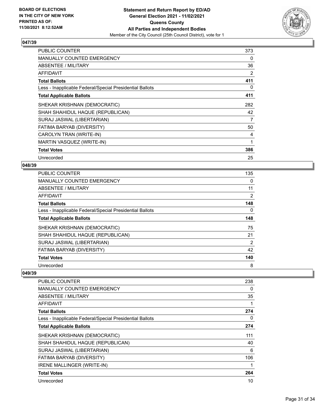

| <b>PUBLIC COUNTER</b>                                    | 373 |
|----------------------------------------------------------|-----|
| <b>MANUALLY COUNTED EMERGENCY</b>                        | 0   |
| ABSENTEE / MILITARY                                      | 36  |
| <b>AFFIDAVIT</b>                                         | 2   |
| <b>Total Ballots</b>                                     | 411 |
| Less - Inapplicable Federal/Special Presidential Ballots | 0   |
| <b>Total Applicable Ballots</b>                          | 411 |
| SHEKAR KRISHNAN (DEMOCRATIC)                             | 282 |
| SHAH SHAHIDUL HAQUE (REPUBLICAN)                         | 42  |
| SURAJ JASWAL (LIBERTARIAN)                               | 7   |
| FATIMA BARYAB (DIVERSITY)                                | 50  |
| CAROLYN TRAN (WRITE-IN)                                  | 4   |
| MARTIN VASQUEZ (WRITE-IN)                                | 1   |
| <b>Total Votes</b>                                       | 386 |
| Unrecorded                                               | 25  |

#### **048/39**

| <b>PUBLIC COUNTER</b>                                    | 135            |
|----------------------------------------------------------|----------------|
| MANUALLY COUNTED EMERGENCY                               | 0              |
| ABSENTEE / MILITARY                                      | 11             |
| AFFIDAVIT                                                | $\overline{2}$ |
| <b>Total Ballots</b>                                     | 148            |
| Less - Inapplicable Federal/Special Presidential Ballots | 0              |
| <b>Total Applicable Ballots</b>                          | 148            |
| SHEKAR KRISHNAN (DEMOCRATIC)                             | 75             |
| SHAH SHAHIDUL HAQUE (REPUBLICAN)                         | 21             |
| SURAJ JASWAL (LIBERTARIAN)                               | 2              |
| FATIMA BARYAB (DIVERSITY)                                | 42             |
| <b>Total Votes</b>                                       | 140            |
| Unrecorded                                               | 8              |

| PUBLIC COUNTER                                           | 238 |
|----------------------------------------------------------|-----|
| <b>MANUALLY COUNTED EMERGENCY</b>                        | 0   |
| ABSENTEE / MILITARY                                      | 35  |
| AFFIDAVIT                                                |     |
| <b>Total Ballots</b>                                     | 274 |
| Less - Inapplicable Federal/Special Presidential Ballots | 0   |
| <b>Total Applicable Ballots</b>                          | 274 |
| SHEKAR KRISHNAN (DEMOCRATIC)                             | 111 |
| SHAH SHAHIDUL HAQUE (REPUBLICAN)                         | 40  |
| SURAJ JASWAL (LIBERTARIAN)                               | 6   |
| FATIMA BARYAB (DIVERSITY)                                | 106 |
| IRENE MALLINGER (WRITE-IN)                               |     |
| <b>Total Votes</b>                                       | 264 |
| Unrecorded                                               | 10  |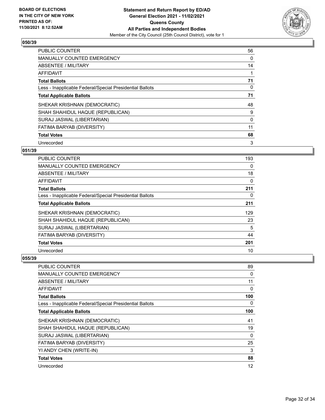

| <b>PUBLIC COUNTER</b>                                    | 56 |
|----------------------------------------------------------|----|
| <b>MANUALLY COUNTED EMERGENCY</b>                        | 0  |
| ABSENTEE / MILITARY                                      | 14 |
| <b>AFFIDAVIT</b>                                         |    |
| <b>Total Ballots</b>                                     | 71 |
| Less - Inapplicable Federal/Special Presidential Ballots | 0  |
| <b>Total Applicable Ballots</b>                          | 71 |
| SHEKAR KRISHNAN (DEMOCRATIC)                             | 48 |
| SHAH SHAHIDUL HAQUE (REPUBLICAN)                         | 9  |
| SURAJ JASWAL (LIBERTARIAN)                               | 0  |
| FATIMA BARYAB (DIVERSITY)                                | 11 |
| <b>Total Votes</b>                                       | 68 |
| Unrecorded                                               | 3  |

## **051/39**

| PUBLIC COUNTER                                           | 193      |
|----------------------------------------------------------|----------|
| <b>MANUALLY COUNTED EMERGENCY</b>                        | $\Omega$ |
| ABSENTEE / MILITARY                                      | 18       |
| AFFIDAVIT                                                | 0        |
| <b>Total Ballots</b>                                     | 211      |
| Less - Inapplicable Federal/Special Presidential Ballots | 0        |
| <b>Total Applicable Ballots</b>                          | 211      |
| SHEKAR KRISHNAN (DEMOCRATIC)                             | 129      |
| SHAH SHAHIDUL HAQUE (REPUBLICAN)                         | 23       |
| SURAJ JASWAL (LIBERTARIAN)                               | 5        |
| FATIMA BARYAB (DIVERSITY)                                | 44       |
| <b>Total Votes</b>                                       | 201      |
| Unrecorded                                               | 10       |

| PUBLIC COUNTER                                           | 89  |
|----------------------------------------------------------|-----|
| MANUALLY COUNTED EMERGENCY                               | 0   |
| ABSENTEE / MILITARY                                      | 11  |
| AFFIDAVIT                                                | 0   |
| <b>Total Ballots</b>                                     | 100 |
| Less - Inapplicable Federal/Special Presidential Ballots | 0   |
| <b>Total Applicable Ballots</b>                          | 100 |
| SHEKAR KRISHNAN (DEMOCRATIC)                             | 41  |
| SHAH SHAHIDUL HAQUE (REPUBLICAN)                         | 19  |
| SURAJ JASWAL (LIBERTARIAN)                               | 0   |
| FATIMA BARYAB (DIVERSITY)                                | 25  |
| YI ANDY CHEN (WRITE-IN)                                  | 3   |
| <b>Total Votes</b>                                       | 88  |
| Unrecorded                                               | 12  |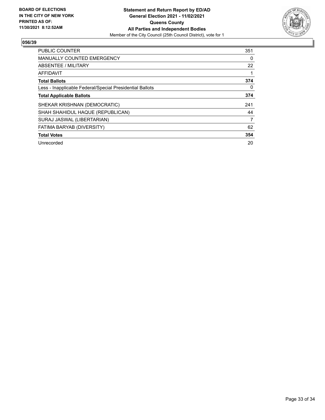

| PUBLIC COUNTER                                           | 351 |
|----------------------------------------------------------|-----|
| <b>MANUALLY COUNTED EMERGENCY</b>                        | 0   |
| ABSENTEE / MILITARY                                      | 22  |
| <b>AFFIDAVIT</b>                                         |     |
| <b>Total Ballots</b>                                     | 374 |
| Less - Inapplicable Federal/Special Presidential Ballots | 0   |
| <b>Total Applicable Ballots</b>                          | 374 |
| SHEKAR KRISHNAN (DEMOCRATIC)                             | 241 |
| SHAH SHAHIDUL HAQUE (REPUBLICAN)                         | 44  |
| SURAJ JASWAL (LIBERTARIAN)                               | 7   |
| FATIMA BARYAB (DIVERSITY)                                | 62  |
| <b>Total Votes</b>                                       | 354 |
| Unrecorded                                               | 20  |